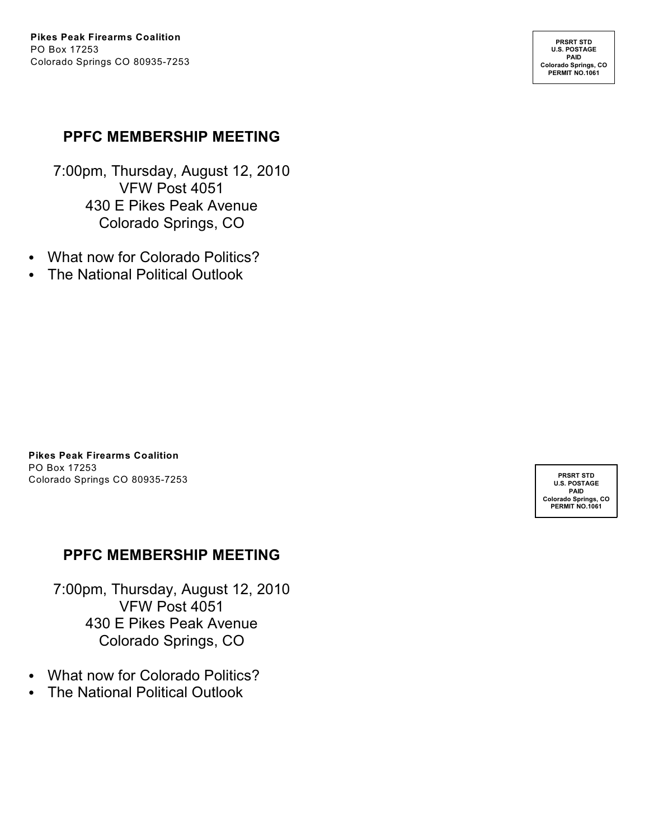**PRSRT STD U.S. POSTAGE PAID Colorado Springs, CO PERMIT NO.1061**

#### **PPFC MEMBERSHIP MEETING**

7:00pm, Thursday, August 12, 2010 VFW Post 4051 430 E Pikes Peak Avenue Colorado Springs, CO

- What now for Colorado Politics?
- The National Political Outlook

**Pikes Peak Firearms Coalition** PO Box 17253 Colorado Springs CO 80935-7253

### **PPFC MEMBERSHIP MEETING**

7:00pm, Thursday, August 12, 2010 VFW Post 4051 430 E Pikes Peak Avenue Colorado Springs, CO

- What now for Colorado Politics?
- The National Political Outlook

**PRSRT STD U.S. POSTAGE PAID Colorado Springs, CO PERMIT NO.1061**